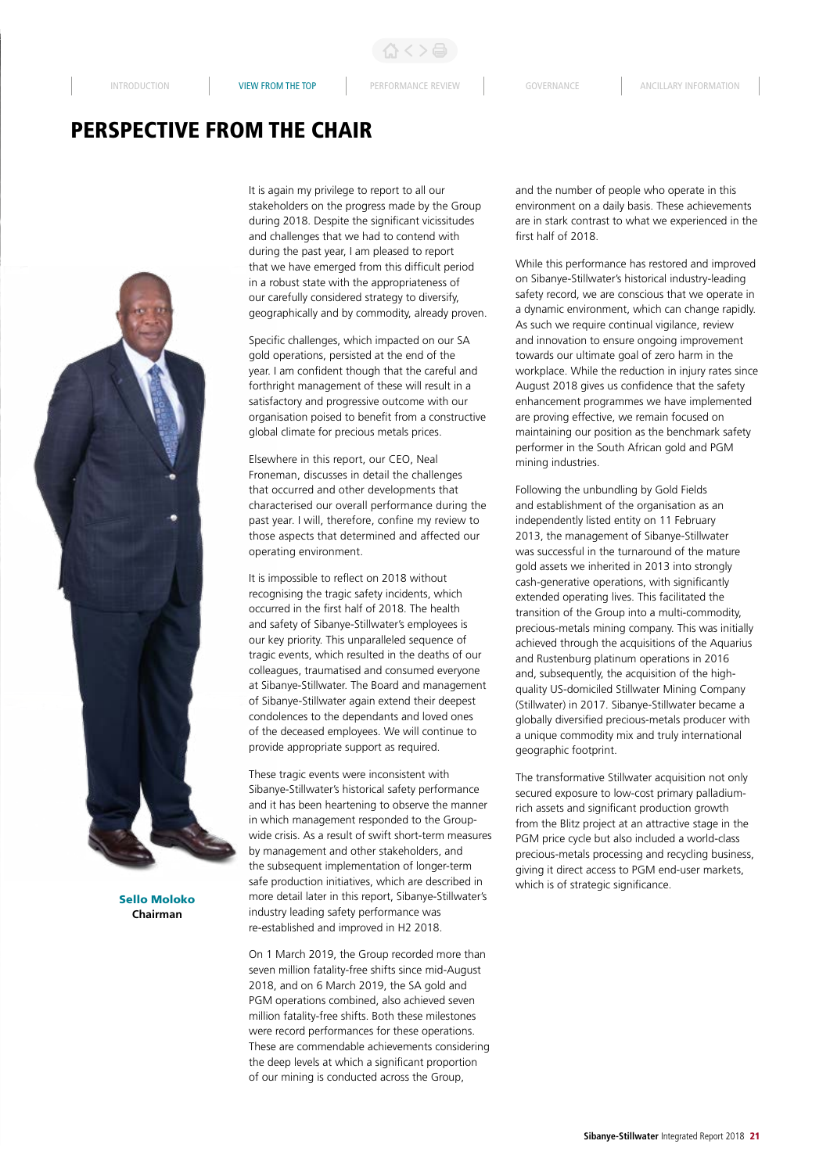INTRODUCTION **VIEW FROM THE TOP** PERFORMANCE REVIEW GOVERNANCE ANCILLARY INFORMATION

## PERSPECTIVE FROM THE CHAIR



Sello Moloko **Chairman**

It is again my privilege to report to all our stakeholders on the progress made by the Group during 2018. Despite the significant vicissitudes and challenges that we had to contend with during the past year, I am pleased to report that we have emerged from this difficult period in a robust state with the appropriateness of our carefully considered strategy to diversify, geographically and by commodity, already proven.

Specific challenges, which impacted on our SA gold operations, persisted at the end of the year. I am confident though that the careful and forthright management of these will result in a satisfactory and progressive outcome with our organisation poised to benefit from a constructive global climate for precious metals prices.

Elsewhere in this report, our CEO, Neal Froneman, discusses in detail the challenges that occurred and other developments that characterised our overall performance during the past year. I will, therefore, confine my review to those aspects that determined and affected our operating environment.

It is impossible to reflect on 2018 without recognising the tragic safety incidents, which occurred in the first half of 2018. The health and safety of Sibanye-Stillwater's employees is our key priority. This unparalleled sequence of tragic events, which resulted in the deaths of our colleagues, traumatised and consumed everyone at Sibanye-Stillwater. The Board and management of Sibanye-Stillwater again extend their deepest condolences to the dependants and loved ones of the deceased employees. We will continue to provide appropriate support as required.

These tragic events were inconsistent with Sibanye-Stillwater's historical safety performance and it has been heartening to observe the manner in which management responded to the Groupwide crisis. As a result of swift short-term measures by management and other stakeholders, and the subsequent implementation of longer-term safe production initiatives, which are described in more detail later in this report, Sibanye-Stillwater's industry leading safety performance was re-established and improved in H2 2018.

On 1 March 2019, the Group recorded more than seven million fatality-free shifts since mid-August 2018, and on 6 March 2019, the SA gold and PGM operations combined, also achieved seven million fatality-free shifts. Both these milestones were record performances for these operations. These are commendable achievements considering the deep levels at which a significant proportion of our mining is conducted across the Group,

and the number of people who operate in this environment on a daily basis. These achievements are in stark contrast to what we experienced in the first half of 2018.

While this performance has restored and improved on Sibanye-Stillwater's historical industry-leading safety record, we are conscious that we operate in a dynamic environment, which can change rapidly. As such we require continual vigilance, review and innovation to ensure ongoing improvement towards our ultimate goal of zero harm in the workplace. While the reduction in injury rates since August 2018 gives us confidence that the safety enhancement programmes we have implemented are proving effective, we remain focused on maintaining our position as the benchmark safety performer in the South African gold and PGM mining industries.

Following the unbundling by Gold Fields and establishment of the organisation as an independently listed entity on 11 February 2013, the management of Sibanye-Stillwater was successful in the turnaround of the mature gold assets we inherited in 2013 into strongly cash-generative operations, with significantly extended operating lives. This facilitated the transition of the Group into a multi-commodity, precious-metals mining company. This was initially achieved through the acquisitions of the Aquarius and Rustenburg platinum operations in 2016 and, subsequently, the acquisition of the highquality US-domiciled Stillwater Mining Company (Stillwater) in 2017. Sibanye-Stillwater became a globally diversified precious-metals producer with a unique commodity mix and truly international geographic footprint.

The transformative Stillwater acquisition not only secured exposure to low-cost primary palladiumrich assets and significant production growth from the Blitz project at an attractive stage in the PGM price cycle but also included a world-class precious-metals processing and recycling business, giving it direct access to PGM end-user markets, which is of strategic significance.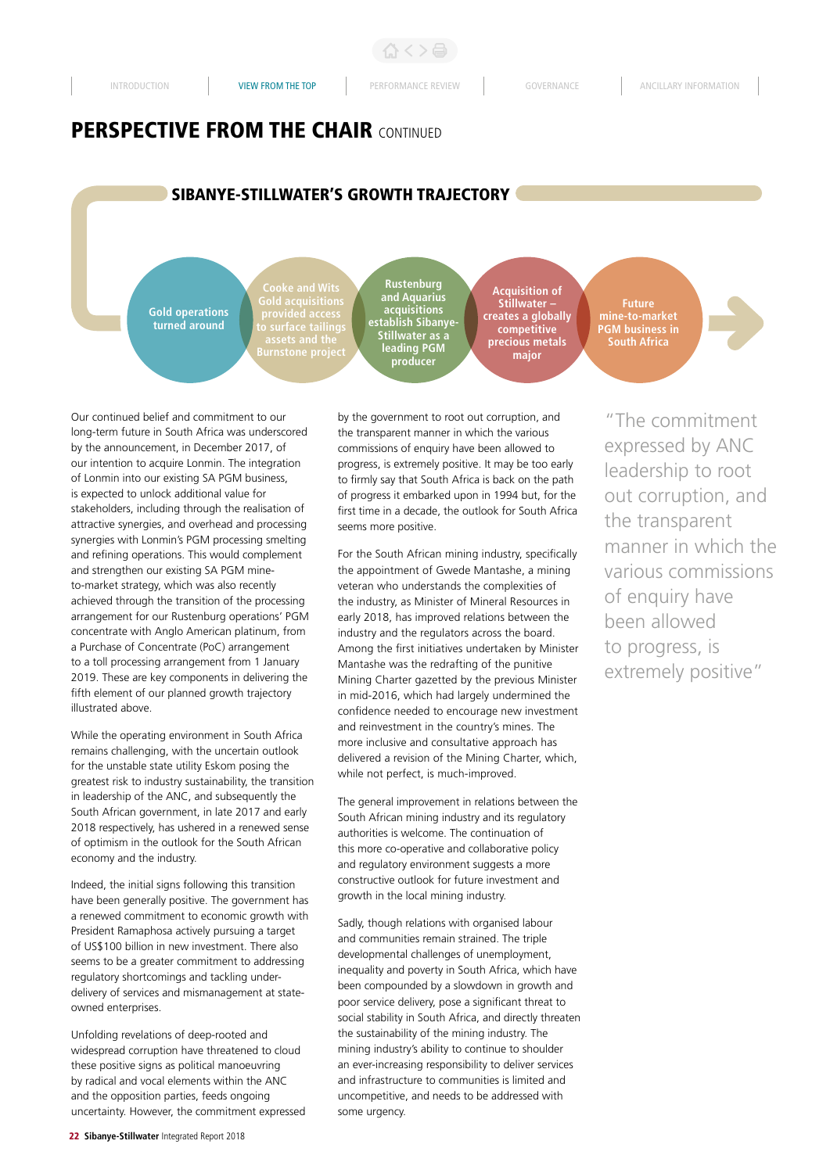公く>台

## **PERSPECTIVE FROM THE CHAIR CONTINUED**

## SIBANYE-STILLWATER'S GROWTH TRAJECTORY

**Gold operations turned around**

**provided access** 

**Rustenburg and Aquarius acquisitions establish Sibanye-Stillwater as a leading PGM producer**

**Acquisition of Stillwater – creates a globally competitive precious metals major**

**Future mine-to-market PGM business in South Africa** 

Our continued belief and commitment to our long-term future in South Africa was underscored by the announcement, in December 2017, of our intention to acquire Lonmin. The integration of Lonmin into our existing SA PGM business, is expected to unlock additional value for stakeholders, including through the realisation of attractive synergies, and overhead and processing synergies with Lonmin's PGM processing smelting and refining operations. This would complement and strengthen our existing SA PGM mineto-market strategy, which was also recently achieved through the transition of the processing arrangement for our Rustenburg operations' PGM concentrate with Anglo American platinum, from a Purchase of Concentrate (PoC) arrangement to a toll processing arrangement from 1 January 2019. These are key components in delivering the fifth element of our planned growth trajectory illustrated above.

While the operating environment in South Africa remains challenging, with the uncertain outlook for the unstable state utility Eskom posing the greatest risk to industry sustainability, the transition in leadership of the ANC, and subsequently the South African government, in late 2017 and early 2018 respectively, has ushered in a renewed sense of optimism in the outlook for the South African economy and the industry.

Indeed, the initial signs following this transition have been generally positive. The government has a renewed commitment to economic growth with President Ramaphosa actively pursuing a target of US\$100 billion in new investment. There also seems to be a greater commitment to addressing regulatory shortcomings and tackling underdelivery of services and mismanagement at stateowned enterprises.

Unfolding revelations of deep-rooted and widespread corruption have threatened to cloud these positive signs as political manoeuvring by radical and vocal elements within the ANC and the opposition parties, feeds ongoing uncertainty. However, the commitment expressed by the government to root out corruption, and the transparent manner in which the various commissions of enquiry have been allowed to progress, is extremely positive. It may be too early to firmly say that South Africa is back on the path of progress it embarked upon in 1994 but, for the first time in a decade, the outlook for South Africa seems more positive.

For the South African mining industry, specifically the appointment of Gwede Mantashe, a mining veteran who understands the complexities of the industry, as Minister of Mineral Resources in early 2018, has improved relations between the industry and the regulators across the board. Among the first initiatives undertaken by Minister Mantashe was the redrafting of the punitive Mining Charter gazetted by the previous Minister in mid-2016, which had largely undermined the confidence needed to encourage new investment and reinvestment in the country's mines. The more inclusive and consultative approach has delivered a revision of the Mining Charter, which, while not perfect, is much-improved.

The general improvement in relations between the South African mining industry and its regulatory authorities is welcome. The continuation of this more co-operative and collaborative policy and regulatory environment suggests a more constructive outlook for future investment and growth in the local mining industry.

Sadly, though relations with organised labour and communities remain strained. The triple developmental challenges of unemployment, inequality and poverty in South Africa, which have been compounded by a slowdown in growth and poor service delivery, pose a significant threat to social stability in South Africa, and directly threaten the sustainability of the mining industry. The mining industry's ability to continue to shoulder an ever-increasing responsibility to deliver services and infrastructure to communities is limited and uncompetitive, and needs to be addressed with some urgency.

"The commitment expressed by ANC leadership to root out corruption, and the transparent manner in which the various commissions of enquiry have been allowed to progress, is extremely positive"